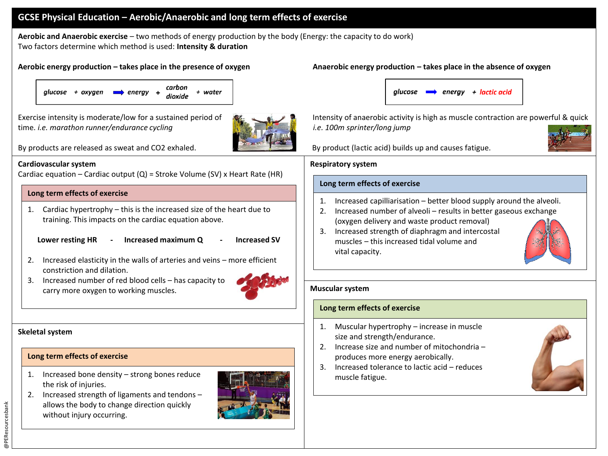# **GCSE Physical Education – Aerobic/Anaerobic and long term effects of exercise**

**Aerobic and Anaerobic exercise** – two methods of energy production by the body (Energy: the capacity to do work) Two factors determine which method is used: **Intensity & duration**



time. *i.e. marathon runner/endurance cycling i.e. 100m sprinter/long jump*



By products are released as sweat and CO2 exhaled. By product (lactic acid) builds up and causes fatigue.

## **Cardiovascular system**

Cardiac equation – Cardiac output  $(Q)$  = Stroke Volume (SV) x Heart Rate (HR)

### **Long term effects of exercise**

1. Cardiac hypertrophy – this is the increased size of the heart due to training. This impacts on the cardiac equation above.

**Lower resting HR - Increased maximum Q - Increased SV**

- 
- 2. Increased elasticity in the walls of arteries and veins more efficient constriction and dilation.
- 3. Increased number of red blood cells has capacity to carry more oxygen to working muscles.



## **Skeletal system**

## **Long term effects of exercise**

- 1. Increased bone density strong bones reduce the risk of injuries.
- 2. Increased strength of ligaments and tendons allows the body to change direction quickly without injury occurring.



## **Aerobic energy production – takes place in the presence of oxygen Anaerobic energy production – takes place in the absence of oxygen**



Exercise intensity is moderate/low for a sustained period of **Intensity of anaerobic activity is high as muscle contraction are powerful & quick** 



#### **Respiratory system**

## **Long term effects of exercise**

- 1. Increased capilliarisation better blood supply around the alveoli.
- 2. Increased number of alveoli results in better gaseous exchange (oxygen delivery and waste product removal)
- 3. Increased strength of diaphragm and intercostal muscles – this increased tidal volume and vital capacity.

### **Muscular system**

## **Long term effects of exercise**

- 1. Muscular hypertrophy increase in muscle size and strength/endurance.
- 2. Increase size and number of mitochondria produces more energy aerobically.
- 3. Increased tolerance to lactic acid reduces muscle fatigue.